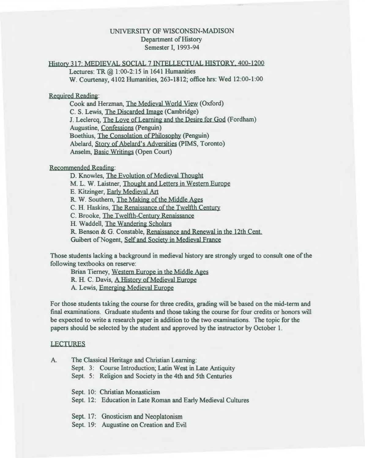# UNIVERSITY OF WISCONSIN-MADISON Department of History Semester I, 1993-94

# History 317: MEDIEVAL SOCIAL 7 INTELLECTUAL HISTORY, 400-1200

Lectures: TR  $(2, 1:00-2:15)$  in 1641 Humanities W. Courtenay, 4102 Humanities, 263-1812; office hrs: Wed 12:00-1:00

## Required Readina:

Cook and Herzman, The Medieval World View (Oxford) C. S. Lewis, The Discarded Image (Cambridge) J. Leclercq, The Love of Learning and the Desire for God (Fordham) Augustine, Confessions (Penguin) Boethius, The Consolation of Philosophy (Penguin) Abelard, Story of Abelard's Adversities (PIMS, Toronto) Anselm, Basic Writings (Open Court)

## Recommended Readina:

D. Knowles, The Evolution of Medieval Thouaht

M. L. W. Laistner, Thought and Letters in Western Europe

E. Kitzinger, Early Medieval Art

R. W. Southern, The Making of the Middle Ages

C. H. Haskins, The Renaissance of the Twelfth Century

C. Brooke, The Twelfth-Century Renaissance

H. Waddell, The Wandering Scholars

R. Benson & G. Constable, Renaissance and Renewal in the 12th Cent.

Guibert of Nogent, Self and Society in Medieval France

Those students lacking a background in medieval history are strongly urged to consult one of the following textbooks on reserve:

Brian Tierney, Western Europe in the Middle Ages

R. H. C. Davis, A History of Medieval Europe

A. Lewis, Emerging Medieval Europe

For those students taking the course for three credits, grading will be based on the mid-term and final examinations. Graduate students and those taking the course for four credits or honors will be expected to write a research paper in addition to the two examinations. The topic for the papers should be selected by the student and approved by the instructor by October 1.

## LECTURES

| A. | The Classical Heritage and Christian Learning: |                                                               |  |  |  |
|----|------------------------------------------------|---------------------------------------------------------------|--|--|--|
|    |                                                | Sept. 3: Course Introduction; Latin West in Late Antiquity    |  |  |  |
|    |                                                | Sept. 5: Religion and Society in the 4th and 5th Centuries    |  |  |  |
|    |                                                | Sept. 10: Christian Monasticism                               |  |  |  |
|    |                                                | Sept. 12: Education in Late Roman and Early Medieval Cultures |  |  |  |
|    |                                                | Sept. 17: Gnosticism and Neoplatonism                         |  |  |  |
|    |                                                | Sept. 19: Augustine on Creation and Evil                      |  |  |  |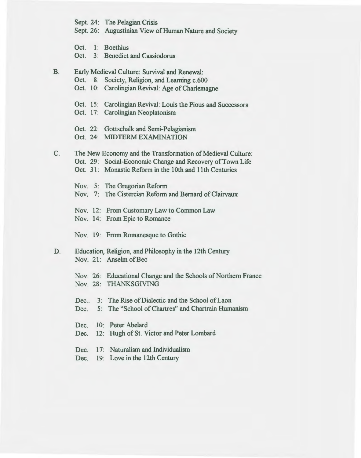Sept. 24: The Pelagian Crisis

Sept. 26: Augustinian View of Human Nature and Society

Oct. 1: Boethius

Oct. 3: Benedict and Cassiodorus

B. Early Medieval Culture: Survival and Renewal: Oct. 8: Society, Religion, and Learning c.600 Oct. 10: Carolingian Revival: Age of Charlemagne Oct. 15: Carolingian Revival: Louis the Pious and Successors Oct. 17: Carolingian Neoplatonism Oct. 22: Gottschalk and Semi-Pelagianism Oct. 24: MIDTERMEXAMINATION C. The New Economy and the Transformation of Medieval Culture: Oct. 29: Social-Economic Change and Recovery of Town Life Oct. 31: Monastic Reform in the 10th and 11th Centuries Nov. 5: The Gregorian Reform Nov. 7: The Cistercian Reform and Bernard of Clairvaux Nov. 12: From Customary Law to Common Law Nov. 14: From Epic to Romance Nov. 19: From Romanesque to Gothic D. Education, Religion, and Philosophy in the 12th Century Nov. 21: Anselm of Bec Nov. 26: Educational Change and the Schools of Northern France Nov. 28: THANKSGIVING Dec. 3: The Rise of Dialectic and the School of Laon Dec. 5: The "School of Chartres" and Chartrain Humanism Dec. 10: Peter Abelard Dec. 12: Hugh of St. Victor and Peter Lombard Dec. 17: Naturalism and Individualism Dec. 19: Love in the 12th Century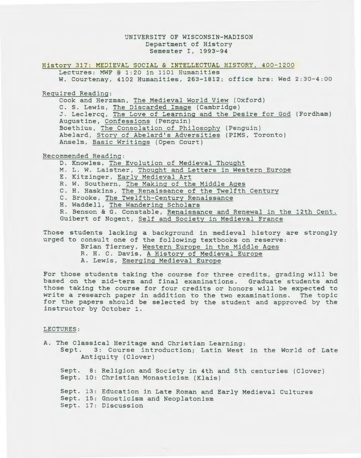### UNIVERSITY OF WISCONSIN-MADISON Department of History Semester I, 1993-94

History 317: MEDIEVAL SOCIAL & INTELLECTUAL HISTORY, 400-1200

Lectures: MWF @ 1:20 in 1101 Humanities W. Courtenay, 4102 Humanities, 263-1812; office hrs: Wed 2:30-4:00

Required Reading:

Cook and Herzman, The Medieval World View (Oxford) C. S. Lewis, The Discarded Image (Cambridge) J. Leclercq, The Love of Learning and the Desire for God (Fordham) Augustine, Confessions (Penguin) Boethius, The Consolation of Philosophy (Penguin) Abelard, Story of Abelard's Adversities (PIMS, Toronto) Anselm, Basic Writings (Open Court)

Recommended Reading:

D. Knowles, The Evolution of Medieval Thought M. L. W. Laistner, Thought and Letters in Western Europe E. Kitzinger, Early Medieval Art R. W. Southern, The Making of the Middle Ages c. H. Haskins, The Renaissance of the Twelfth Century C. Brooke, The Twelfth-Century Renaissance H. Waddell, The Wandering Scholars R. Benson & G. Constable, Renaissance and Renewal in the 12th Cent. Guibert of Nogent, Self and Society in Medieval France

Those students lacking a background in medieval history are strongly urged to consult one of the following textbooks on reserve:

Brian Tierney, Western Europe in the Middle Ages

- R. H. C. Davis, A History of Medieval Europe
- A. Lewis, Emerging Medieval Europe

For those students taking the course for three credits, grading will be based on the mid-term and final examinations. Graduate students and those taking the course for four credits or honors will be expected to write a research paper in addition to the two examinations. The topic for the papers should be selected by the student and approved by the instructor by October 1.

#### LECTURES:

| A. The Classical Heritage and Christian Learning:<br>Sept. 3: Course introduction; Latin West in the World of Late<br>Antiquity (Clover) |  |                                                                                                                                |  |
|------------------------------------------------------------------------------------------------------------------------------------------|--|--------------------------------------------------------------------------------------------------------------------------------|--|
|                                                                                                                                          |  | Sept. 8: Religion and Society in 4th and 5th centuries (Clover)<br>Sept. 10: Christian Monasticism (Klais)                     |  |
|                                                                                                                                          |  | Sept. 13: Education in Late Roman and Early Medieval Cultures<br>Sept. 15: Gnosticism and Neoplatonism<br>Sept. 17: Discussion |  |